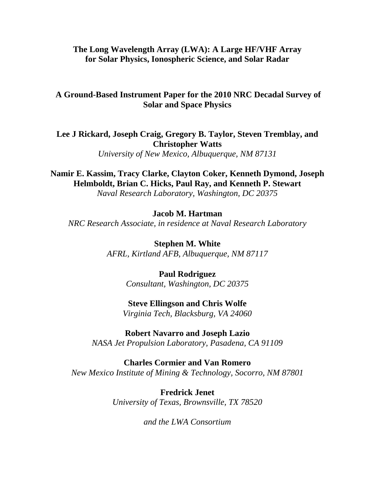# **The Long Wavelength Array (LWA): A Large HF/VHF Array for Solar Physics, Ionospheric Science, and Solar Radar**

# **A Ground-Based Instrument Paper for the 2010 NRC Decadal Survey of Solar and Space Physics**

**Lee J Rickard, Joseph Craig, Gregory B. Taylor, Steven Tremblay, and Christopher Watts**

*University of New Mexico, Albuquerque, NM 87131*

**Namir E. Kassim, Tracy Clarke, Clayton Coker, Kenneth Dymond, Joseph Helmboldt, Brian C. Hicks, Paul Ray, and Kenneth P. Stewart**

*Naval Research Laboratory, Washington, DC 20375* 

## **Jacob M. Hartman**

*NRC Research Associate, in residence at Naval Research Laboratory* 

**Stephen M. White** *AFRL, Kirtland AFB, Albuquerque, NM 87117*

> **Paul Rodriguez** *Consultant, Washington, DC 20375*

## **Steve Ellingson and Chris Wolfe**

*Virginia Tech, Blacksburg, VA 24060* 

**Robert Navarro and Joseph Lazio**  *NASA Jet Propulsion Laboratory, Pasadena, CA 91109* 

**Charles Cormier and Van Romero**  *New Mexico Institute of Mining & Technology, Socorro, NM 87801*

> **Fredrick Jenet** *University of Texas, Brownsville, TX 78520*

> > *and the LWA Consortium*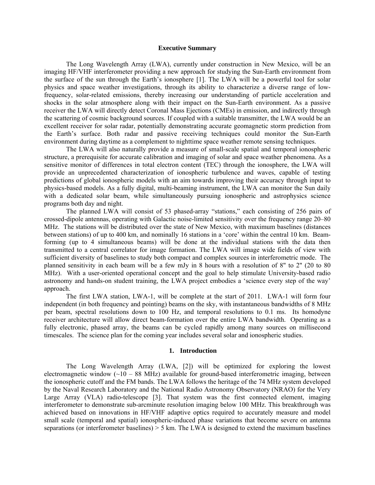#### **Executive Summary**

The Long Wavelength Array (LWA), currently under construction in New Mexico, will be an imaging HF/VHF interferometer providing a new approach for studying the Sun-Earth environment from the surface of the sun through the Earth's ionosphere [1]. The LWA will be a powerful tool for solar physics and space weather investigations, through its ability to characterize a diverse range of lowfrequency, solar-related emissions, thereby increasing our understanding of particle acceleration and shocks in the solar atmosphere along with their impact on the Sun-Earth environment. As a passive receiver the LWA will directly detect Coronal Mass Ejections (CMEs) in emission, and indirectly through the scattering of cosmic background sources. If coupled with a suitable transmitter, the LWA would be an excellent receiver for solar radar, potentially demonstrating accurate geomagnetic storm prediction from the Earth's surface. Both radar and passive receiving techniques could monitor the Sun-Earth environment during daytime as a complement to nighttime space weather remote sensing techniques.

The LWA will also naturally provide a measure of small-scale spatial and temporal ionospheric structure, a prerequisite for accurate calibration and imaging of solar and space weather phenomena. As a sensitive monitor of differences in total electron content (TEC) through the ionosphere, the LWA will provide an unprecedented characterization of ionospheric turbulence and waves, capable of testing predictions of global ionospheric models with an aim towards improving their accuracy through input to physics-based models. As a fully digital, multi-beaming instrument, the LWA can monitor the Sun daily with a dedicated solar beam, while simultaneously pursuing ionospheric and astrophysics science programs both day and night.

The planned LWA will consist of 53 phased-array "stations," each consisting of 256 pairs of crossed-dipole antennas, operating with Galactic noise-limited sensitivity over the frequency range 20–80 MHz. The stations will be distributed over the state of New Mexico, with maximum baselines (distances between stations) of up to 400 km, and nominally 16 stations in a 'core' within the central 10 km. Beamforming (up to 4 simultaneous beams) will be done at the individual stations with the data then transmitted to a central correlator for image formation. The LWA will image wide fields of view with sufficient diversity of baselines to study both compact and complex sources in interferometric mode. The planned sensitivity in each beam will be a few mJy in 8 hours with a resolution of 8" to 2" (20 to 80 MHz). With a user-oriented operational concept and the goal to help stimulate University-based radio astronomy and hands-on student training, the LWA project embodies a 'science every step of the way' approach.

The first LWA station, LWA-1, will be complete at the start of 2011. LWA-1 will form four independent (in both frequency and pointing) beams on the sky, with instantaneous bandwidths of 8 MHz per beam, spectral resolutions down to 100 Hz, and temporal resolutions to 0.1 ms. Its homodyne receiver architecture will allow direct beam-formation over the entire LWA bandwidth. Operating as a fully electronic, phased array, the beams can be cycled rapidly among many sources on millisecond timescales. The science plan for the coming year includes several solar and ionospheric studies.

#### **1. Introduction**

The Long Wavelength Array (LWA, [2]) will be optimized for exploring the lowest electromagnetic window  $(-10 - 88 \text{ MHz})$  available for ground-based interferometric imaging, between the ionospheric cutoff and the FM bands. The LWA follows the heritage of the 74 MHz system developed by the Naval Research Laboratory and the National Radio Astronomy Observatory (NRAO) for the Very Large Array (VLA) radio-telescope [3]. That system was the first connected element, imaging interferometer to demonstrate sub-arcminute resolution imaging below 100 MHz. This breakthrough was achieved based on innovations in HF/VHF adaptive optics required to accurately measure and model small scale (temporal and spatial) ionospheric-induced phase variations that become severe on antenna separations (or interferometer baselines)  $> 5$  km. The LWA is designed to extend the maximum baselines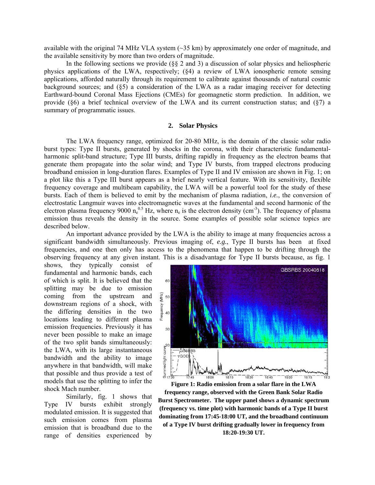available with the original 74 MHz VLA system (~35 km) by approximately one order of magnitude, and the available sensitivity by more than two orders of magnitude.

In the following sections we provide (§§ 2 and 3) a discussion of solar physics and heliospheric physics applications of the LWA, respectively; (§4) a review of LWA ionospheric remote sensing applications, afforded naturally through its requirement to calibrate against thousands of natural cosmic background sources; and (§5) a consideration of the LWA as a radar imaging receiver for detecting Earthward-bound Coronal Mass Ejections (CMEs) for geomagnetic storm prediction. In addition, we provide ( $\S6$ ) a brief technical overview of the LWA and its current construction status; and  $(\S7)$  a summary of programmatic issues.

## **2. Solar Physics**

The LWA frequency range, optimized for 20-80 MHz, is the domain of the classic solar radio burst types: Type II bursts, generated by shocks in the corona, with their characteristic fundamentalharmonic split-band structure; Type III bursts, drifting rapidly in frequency as the electron beams that generate them propagate into the solar wind; and Type IV bursts, from trapped electrons producing broadband emission in long-duration flares. Examples of Type II and IV emission are shown in Fig. 1; on a plot like this a Type III burst appears as a brief nearly vertical feature. With its sensitivity, flexible frequency coverage and multibeam capability, the LWA will be a powerful tool for the study of these bursts. Each of them is believed to emit by the mechanism of plasma radiation, *i.e.*, the conversion of electrostatic Langmuir waves into electromagnetic waves at the fundamental and second harmonic of the electron plasma frequency 9000  $n_e^{0.5}$  Hz, where  $n_e$  is the electron density (cm<sup>-3</sup>). The frequency of plasma emission thus reveals the density in the source. Some examples of possible solar science topics are described below.

An important advance provided by the LWA is the ability to image at many frequencies across a significant bandwidth simultaneously. Previous imaging of, *e.g.*, Type II bursts has been at fixed frequencies, and one then only has access to the phenomena that happen to be drifting through the observing frequency at any given instant. This is a disadvantage for Type II bursts because, as fig. 1

shows, they typically consist of fundamental and harmonic bands, each of which is split. It is believed that the splitting may be due to emission coming from the upstream and downstream regions of a shock, with the differing densities in the two locations leading to different plasma emission frequencies. Previously it has never been possible to make an image of the two split bands simultaneously: the LWA, with its large instantaneous bandwidth and the ability to image anywhere in that bandwidth, will make that possible and thus provide a test of models that use the splitting to infer the shock Mach number.

Similarly, fig. 1 shows that Type IV bursts exhibit strongly modulated emission. It is suggested that such emission comes from plasma emission that is broadband due to the range of densities experienced by



**Figure 1: Radio emission from a solar flare in the LWA frequency range, observed with the Green Bank Solar Radio Burst Spectrometer. The upper panel shows a dynamic spectrum (frequency vs. time plot) with harmonic bands of a Type II burst dominating from 17:45-18:00 UT, and the broadband continuum of a Type IV burst drifting gradually lower in frequency from 18:20-19:30 UT.**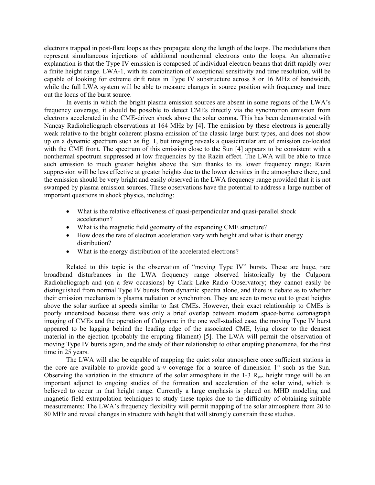electrons trapped in post-flare loops as they propagate along the length of the loops. The modulations then represent simultaneous injections of additional nonthermal electrons onto the loops. An alternative explanation is that the Type IV emission is composed of individual electron beams that drift rapidly over a finite height range. LWA-1, with its combination of exceptional sensitivity and time resolution, will be capable of looking for extreme drift rates in Type IV substructure across 8 or 16 MHz of bandwidth, while the full LWA system will be able to measure changes in source position with frequency and trace out the locus of the burst source.

In events in which the bright plasma emission sources are absent in some regions of the LWA's frequency coverage, it should be possible to detect CMEs directly via the synchrotron emission from electrons accelerated in the CME-driven shock above the solar corona. This has been demonstrated with Nançay Radioheliograph observations at 164 MHz by [4]. The emission by these electrons is generally weak relative to the bright coherent plasma emission of the classic large burst types, and does not show up on a dynamic spectrum such as fig. 1, but imaging reveals a quasicircular arc of emission co-located with the CME front. The spectrum of this emission close to the Sun [4] appears to be consistent with a nonthermal spectrum suppressed at low frequencies by the Razin effect. The LWA will be able to trace such emission to much greater heights above the Sun thanks to its lower frequency range; Razin suppression will be less effective at greater heights due to the lower densities in the atmosphere there, and the emission should be very bright and easily observed in the LWA frequency range provided that it is not swamped by plasma emission sources. These observations have the potential to address a large number of important questions in shock physics, including:

- What is the relative effectiveness of quasi-perpendicular and quasi-parallel shock acceleration?
- What is the magnetic field geometry of the expanding CME structure?
- How does the rate of electron acceleration vary with height and what is their energy distribution?
- What is the energy distribution of the accelerated electrons?

Related to this topic is the observation of "moving Type IV" bursts. These are huge, rare broadband disturbances in the LWA frequency range observed historically by the Culgoora Radioheliograph and (on a few occasions) by Clark Lake Radio Observatory; they cannot easily be distinguished from normal Type IV bursts from dynamic spectra alone, and there is debate as to whether their emission mechanism is plasma radiation or synchrotron. They are seen to move out to great heights above the solar surface at speeds similar to fast CMEs. However, their exact relationship to CMEs is poorly understood because there was only a brief overlap between modern space-borne coronagraph imaging of CMEs and the operation of Culgoora: in the one well-studied case, the moving Type IV burst appeared to be lagging behind the leading edge of the associated CME, lying closer to the densest material in the ejection (probably the erupting filament) [5]. The LWA will permit the observation of moving Type IV bursts again, and the study of their relationship to other erupting phenomena, for the first time in 25 years.

The LWA will also be capable of mapping the quiet solar atmosphere once sufficient stations in the core are available to provide good  $u-v$  coverage for a source of dimension  $1^{\circ}$  such as the Sun. Observing the variation in the structure of the solar atmosphere in the  $1-3$  R<sub>sun</sub> height range will be an important adjunct to ongoing studies of the formation and acceleration of the solar wind, which is believed to occur in that height range. Currently a large emphasis is placed on MHD modeling and magnetic field extrapolation techniques to study these topics due to the difficulty of obtaining suitable measurements: The LWA's frequency flexibility will permit mapping of the solar atmosphere from 20 to 80 MHz and reveal changes in structure with height that will strongly constrain these studies.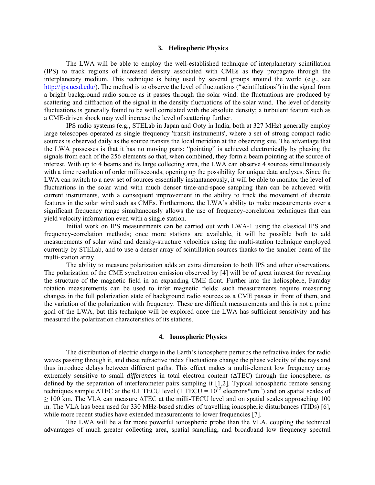#### **3. Heliospheric Physics**

The LWA will be able to employ the well-established technique of interplanetary scintillation (IPS) to track regions of increased density associated with CMEs as they propagate through the interplanetary medium. This technique is being used by several groups around the world (e.g., see [http://ips.ucsd.edu/\)](http://ips.ucsd.edu/). The method is to observe the level of fluctuations ("scintillations") in the signal from a bright background radio source as it passes through the solar wind: the fluctuations are produced by scattering and diffraction of the signal in the density fluctuations of the solar wind. The level of density fluctuations is generally found to be well correlated with the absolute density; a turbulent feature such as a CME-driven shock may well increase the level of scattering further.

IPS radio systems (e.g., STELab in Japan and Ooty in India, both at 327 MHz) generally employ large telescopes operated as single frequency 'transit instruments', where a set of strong compact radio sources is observed daily as the source transits the local meridian at the observing site. The advantage that the LWA possesses is that it has no moving parts: "pointing" is achieved electronically by phasing the signals from each of the 256 elements so that, when combined, they form a beam pointing at the source of interest. With up to 4 beams and its large collecting area, the LWA can observe 4 sources simultaneously with a time resolution of order milliseconds, opening up the possibility for unique data analyses. Since the LWA can switch to a new set of sources essentially instantaneously, it will be able to monitor the level of fluctuations in the solar wind with much denser time-and-space sampling than can be achieved with current instruments, with a consequent improvement in the ability to track the movement of discrete features in the solar wind such as CMEs. Furthermore, the LWA's ability to make measurements over a significant frequency range simultaneously allows the use of frequency-correlation techniques that can yield velocity information even with a single station.

Initial work on IPS measurements can be carried out with LWA-1 using the classical IPS and frequency-correlation methods; once more stations are available, it will be possible both to add measurements of solar wind and density-structure velocities using the multi-station technique employed currently by STELab, and to use a denser array of scintillation sources thanks to the smaller beam of the multi-station array.

The ability to measure polarization adds an extra dimension to both IPS and other observations. The polarization of the CME synchrotron emission observed by [4] will be of great interest for revealing the structure of the magnetic field in an expanding CME front. Further into the heliosphere, Faraday rotation measurements can be used to infer magnetic fields: such measurements require measuring changes in the full polarization state of background radio sources as a CME passes in front of them, and the variation of the polarization with frequency. These are difficult measurements and this is not a prime goal of the LWA, but this technique will be explored once the LWA has sufficient sensitivity and has measured the polarization characteristics of its stations.

## **4. Ionospheric Physics**

The distribution of electric charge in the Earth's ionosphere perturbs the refractive index for radio waves passing through it, and these refractive index fluctuations change the phase velocity of the rays and thus introduce delays between different paths. This effect makes a multi-element low frequency array extremely sensitive to small *differences* in total electron content (ΔTEC) through the ionosphere, as defined by the separation of interferometer pairs sampling it [1,2]. Typical ionospheric remote sensing techniques sample  $\triangle TEC$  at the 0.1 TECU level (1 TECU =  $10^{12}$  electrons\*cm<sup>-2</sup>) and on spatial scales of  $\geq$  100 km. The VLA can measure  $\triangle$ TEC at the milli-TECU level and on spatial scales approaching 100 m. The VLA has been used for 330 MHz-based studies of travelling ionospheric disturbances (TIDs) [6], while more recent studies have extended measurements to lower frequencies [7].

The LWA will be a far more powerful ionospheric probe than the VLA, coupling the technical advantages of much greater collecting area, spatial sampling, and broadband low frequency spectral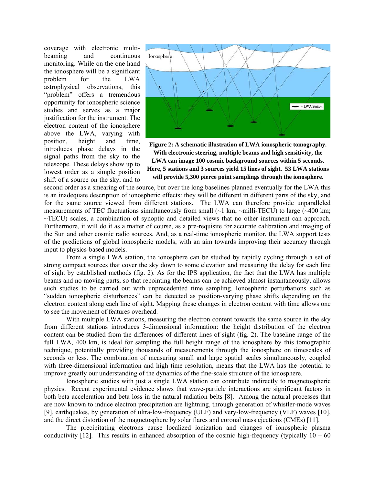coverage with electronic multibeaming and continuous monitoring. While on the one hand the ionosphere will be a significant problem for the LWA astrophysical observations, this "problem" offers a tremendous opportunity for ionospheric science studies and serves as a major justification for the instrument. The electron content of the ionosphere above the LWA, varying with position, height and time, introduces phase delays in the signal paths from the sky to the telescope. These delays show up to lowest order as a simple position shift of a source on the sky, and to



**Figure 2: A schematic illustration of LWA ionospheric tomography. With electronic steering, multiple beams and high sensitivity, the LWA can image 100 cosmic background sources within 5 seconds. Here, 5 stations and 3 sources yield 15 lines of sight. 53 LWA stations will provide 5,300 pierce point samplings through the ionosphere.**

second order as a smearing of the source, but over the long baselines planned eventually for the LWA this is an inadequate description of ionospheric effects: they will be different in different parts of the sky, and for the same source viewed from different stations. The LWA can therefore provide unparalleled measurements of TEC fluctuations simultaneously from small  $\sim$ 1 km;  $\sim$ milli-TECU) to large ( $\sim$ 400 km; ~TECU) scales, a combination of synoptic and detailed views that no other instrument can approach. Furthermore, it will do it as a matter of course, as a pre-requisite for accurate calibration and imaging of the Sun and other cosmic radio sources. And, as a real-time ionospheric monitor, the LWA support tests of the predictions of global ionospheric models, with an aim towards improving their accuracy through input to physics-based models.

From a single LWA station, the ionosphere can be studied by rapidly cycling through a set of strong compact sources that cover the sky down to some elevation and measuring the delay for each line of sight by established methods (fig. 2). As for the IPS application, the fact that the LWA has multiple beams and no moving parts, so that repointing the beams can be achieved almost instantaneously, allows such studies to be carried out with unprecedented time sampling. Ionospheric perturbations such as "sudden ionospheric disturbances" can be detected as position-varying phase shifts depending on the electron content along each line of sight. Mapping these changes in electron content with time allows one to see the movement of features overhead.

With multiple LWA stations, measuring the electron content towards the same source in the sky from different stations introduces 3-dimensional information: the height distribution of the electron content can be studied from the differences of different lines of sight (fig. 2). The baseline range of the full LWA, 400 km, is ideal for sampling the full height range of the ionosphere by this tomographic technique, potentially providing thousands of measurements through the ionosphere on timescales of seconds or less. The combination of measuring small and large spatial scales simultaneously, coupled with three-dimensional information and high time resolution, means that the LWA has the potential to improve greatly our understanding of the dynamics of the fine-scale structure of the ionosphere.

Ionospheric studies with just a single LWA station can contribute indirectly to magnetospheric physics. Recent experimental evidence shows that wave-particle interactions are significant factors in both beta acceleration and beta loss in the natural radiation belts [8]. Among the natural processes that are now known to induce electron precipitation are lightning, through generation of whistler-mode waves [9], earthquakes, by generation of ultra-low-frequency (ULF) and very-low-frequency (VLF) waves [10], and the direct distortion of the magnetosphere by solar flares and coronal mass ejections (CMEs) [11].

The precipitating electrons cause localized ionization and changes of ionospheric plasma conductivity [12]. This results in enhanced absorption of the cosmic high-frequency (typically  $10 - 60$ )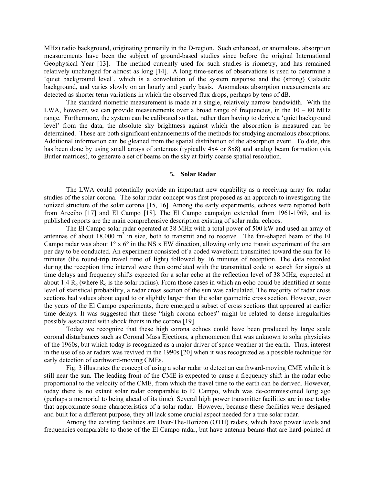MHz) radio background, originating primarily in the D-region. Such enhanced, or anomalous, absorption measurements have been the subject of ground-based studies since before the original International Geophysical Year [13]. The method currently used for such studies is riometry, and has remained relatively unchanged for almost as long [14]. A long time-series of observations is used to determine a 'quiet background level', which is a convolution of the system response and the (strong) Galactic background, and varies slowly on an hourly and yearly basis. Anomalous absorption measurements are detected as shorter term variations in which the observed flux drops, perhaps by tens of dB.

The standard riometric measurement is made at a single, relatively narrow bandwidth. With the LWA, however, we can provide measurements over a broad range of frequencies, in the  $10 - 80$  MHz range. Furthermore, the system can be calibrated so that, rather than having to derive a 'quiet background level' from the data, the absolute sky brightness against which the absorption is measured can be determined. These are both significant enhancements of the methods for studying anomalous absorptions. Additional information can be gleaned from the spatial distribution of the absorption event. To date, this has been done by using small arrays of antennas (typically 4x4 or 8x8) and analog beam formation (via Butler matrices), to generate a set of beams on the sky at fairly coarse spatial resolution.

## **5. Solar Radar**

The LWA could potentially provide an important new capability as a receiving array for radar studies of the solar corona. The solar radar concept was first proposed as an approach to investigating the ionized structure of the solar corona [15, 16]. Among the early experiments, echoes were reported both from Arecibo [17] and El Campo [18]. The El Campo campaign extended from 1961-1969, and its published reports are the main comprehensive description existing of solar radar echoes.

The El Campo solar radar operated at 38 MHz with a total power of 500 kW and used an array of antennas of about  $18,000 \text{ m}^2$  in size, both to transmit and to receive. The fan-shaped beam of the El Campo radar was about  $1^{\circ}$  x 6<sup> $\circ$ </sup> in the NS x EW direction, allowing only one transit experiment of the sun per day to be conducted. An experiment consisted of a coded waveform transmitted toward the sun for 16 minutes (the round-trip travel time of light) followed by 16 minutes of reception. The data recorded during the reception time interval were then correlated with the transmitted code to search for signals at time delays and frequency shifts expected for a solar echo at the reflection level of 38 MHz, expected at about 1.4  $R_0$  (where  $R_0$  is the solar radius). From those cases in which an echo could be identified at some level of statistical probability, a radar cross section of the sun was calculated. The majority of radar cross sections had values about equal to or slightly larger than the solar geometric cross section. However, over the years of the El Campo experiments, there emerged a subset of cross sections that appeared at earlier time delays. It was suggested that these "high corona echoes" might be related to dense irregularities possibly associated with shock fronts in the corona [19].

Today we recognize that these high corona echoes could have been produced by large scale coronal disturbances such as Coronal Mass Ejections, a phenomenon that was unknown to solar physicists of the 1960s, but which today is recognized as a major driver of space weather at the earth. Thus, interest in the use of solar radars was revived in the 1990s [20] when it was recognized as a possible technique for early detection of earthward-moving CMEs.

Fig. 3 illustrates the concept of using a solar radar to detect an earthward-moving CME while it is still near the sun. The leading front of the CME is expected to cause a frequency shift in the radar echo proportional to the velocity of the CME, from which the travel time to the earth can be derived. However, today there is no extant solar radar comparable to El Campo, which was de-commissioned long ago (perhaps a memorial to being ahead of its time). Several high power transmitter facilities are in use today that approximate some characteristics of a solar radar. However, because these facilities were designed and built for a different purpose, they all lack some crucial aspect needed for a true solar radar.

Among the existing facilities are Over-The-Horizon (OTH) radars, which have power levels and frequencies comparable to those of the El Campo radar, but have antenna beams that are hard-pointed at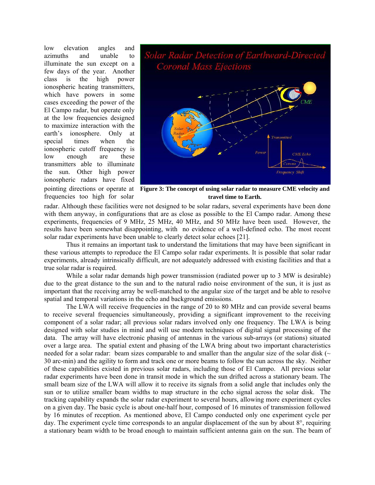low elevation angles and azimuths and unable to illuminate the sun except on a few days of the year. Another class is the high power ionospheric heating transmitters, which have powers in some cases exceeding the power of the El Campo radar, but operate only at the low frequencies designed to maximize interaction with the earth's ionosphere. Only at special times when the ionospheric cutoff frequency is low enough are these transmitters able to illuminate the sun. Other high power ionospheric radars have fixed frequencies too high for solar



pointing directions or operate at **Figure 3: The concept of using solar radar to measure CME velocity and travel time to Earth.**

radar. Although these facilities were not designed to be solar radars, several experiments have been done with them anyway, in configurations that are as close as possible to the El Campo radar. Among these experiments, frequencies of 9 MHz, 25 MHz, 40 MHz, and 50 MHz have been used. However, the results have been somewhat disappointing, with no evidence of a well-defined echo. The most recent solar radar experiments have been unable to clearly detect solar echoes [21].

Thus it remains an important task to understand the limitations that may have been significant in these various attempts to reproduce the El Campo solar radar experiments. It is possible that solar radar experiments, already intrinsically difficult, are not adequately addressed with existing facilities and that a true solar radar is required.

While a solar radar demands high power transmission (radiated power up to 3 MW is desirable) due to the great distance to the sun and to the natural radio noise environment of the sun, it is just as important that the receiving array be well-matched to the angular size of the target and be able to resolve spatial and temporal variations in the echo and background emissions.

The LWA will receive frequencies in the range of 20 to 80 MHz and can provide several beams to receive several frequencies simultaneously, providing a significant improvement to the receiving component of a solar radar; all previous solar radars involved only one frequency. The LWA is being designed with solar studies in mind and will use modern techniques of digital signal processing of the data. The array will have electronic phasing of antennas in the various sub-arrays (or stations) situated over a large area. The spatial extent and phasing of the LWA bring about two important characteristics needed for a solar radar: beam sizes comparable to and smaller than the angular size of the solar disk ( $\sim$ 30 arc-min) and the agility to form and track one or more beams to follow the sun across the sky. Neither of these capabilities existed in previous solar radars, including those of El Campo. All previous solar radar experiments have been done in transit mode in which the sun drifted across a stationary beam. The small beam size of the LWA will allow it to receive its signals from a solid angle that includes only the sun or to utilize smaller beam widths to map structure in the echo signal across the solar disk. The tracking capability expands the solar radar experiment to several hours, allowing more experiment cycles on a given day. The basic cycle is about one-half hour, composed of 16 minutes of transmission followed by 16 minutes of reception. As mentioned above, El Campo conducted only one experiment cycle per day. The experiment cycle time corresponds to an angular displacement of the sun by about 8°, requiring a stationary beam width to be broad enough to maintain sufficient antenna gain on the sun. The beam of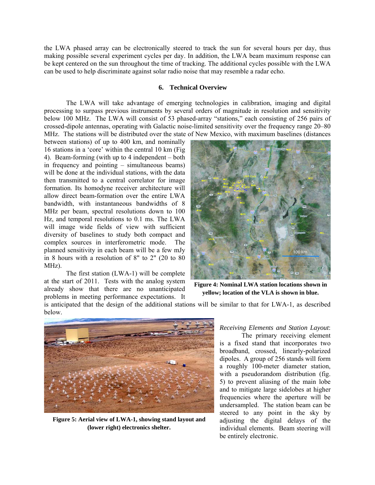the LWA phased array can be electronically steered to track the sun for several hours per day, thus making possible several experiment cycles per day. In addition, the LWA beam maximum response can be kept centered on the sun throughout the time of tracking. The additional cycles possible with the LWA can be used to help discriminate against solar radio noise that may resemble a radar echo.

## **6. Technical Overview**

The LWA will take advantage of emerging technologies in calibration, imaging and digital processing to surpass previous instruments by several orders of magnitude in resolution and sensitivity below 100 MHz. The LWA will consist of 53 phased-array "stations," each consisting of 256 pairs of crossed-dipole antennas, operating with Galactic noise-limited sensitivity over the frequency range 20–80 MHz. The stations will be distributed over the state of New Mexico, with maximum baselines (distances

between stations) of up to 400 km, and nominally 16 stations in a 'core' within the central 10 km (Fig 4). Beam-forming (with up to 4 independent – both in frequency and pointing – simultaneous beams) will be done at the individual stations, with the data then transmitted to a central correlator for image formation. Its homodyne receiver architecture will allow direct beam-formation over the entire LWA bandwidth, with instantaneous bandwidths of 8 MHz per beam, spectral resolutions down to 100 Hz, and temporal resolutions to 0.1 ms. The LWA will image wide fields of view with sufficient diversity of baselines to study both compact and complex sources in interferometric mode. The planned sensitivity in each beam will be a few mJy in 8 hours with a resolution of 8" to 2" (20 to 80 MHz).

 The first station (LWA-1) will be complete at the start of 2011. Tests with the analog system already show that there are no unanticipated problems in meeting performance expectations. It



**Figure 4: Nominal LWA station locations shown in yellow; location of the VLA is shown in blue.**

is anticipated that the design of the additional stations will be similar to that for LWA-1, as described below.



**Figure 5: Aerial view of LWA-1, showing stand layout and (lower right) electronics shelter.**

*Receiving Elements and Station Layout*:

 The primary receiving element is a fixed stand that incorporates two broadband, crossed, linearly-polarized dipoles. A group of 256 stands will form a roughly 100-meter diameter station, with a pseudorandom distribution (fig. 5) to prevent aliasing of the main lobe and to mitigate large sidelobes at higher frequencies where the aperture will be undersampled. The station beam can be steered to any point in the sky by adjusting the digital delays of the individual elements. Beam steering will be entirely electronic.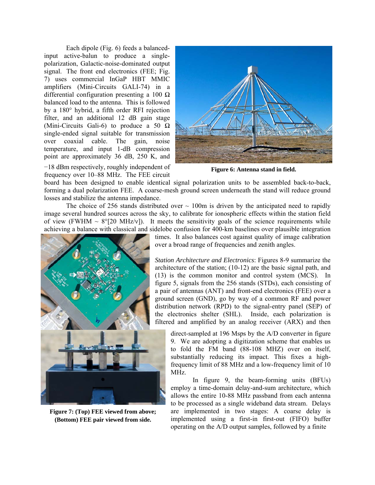Each dipole (Fig. 6) feeds a balancedinput active-balun to produce a singlepolarization, Galactic-noise-dominated output signal. The front end electronics (FEE; Fig. 7) uses commercial InGaP HBT MMIC amplifiers (Mini-Circuits GALI-74) in a differential configuration presenting a 100  $\Omega$ balanced load to the antenna. This is followed by a 180° hybrid, a fifth order RFI rejection filter, and an additional 12 dB gain stage (Mini-Circuits Gali-6) to produce a 50  $\Omega$ single-ended signal suitable for transmission over coaxial cable. The gain, noise temperature, and input 1-dB compression point are approximately 36 dB, 250 K, and



−18 dBm respectively, roughly independent of frequency over 10–88 MHz. The FEE circuit

**Figure 6: Antenna stand in field.**

board has been designed to enable identical signal polarization units to be assembled back-to-back, forming a dual polarization FEE. A coarse-mesh ground screen underneath the stand will reduce ground losses and stabilize the antenna impedance.

The choice of 256 stands distributed over  $\sim$  100m is driven by the anticipated need to rapidly image several hundred sources across the sky, to calibrate for ionospheric effects within the station field of view (FWHM  $\sim 8^{\circ}$ [20 MHz/v]). It meets the sensitivity goals of the science requirements while achieving a balance with classical and sidelobe confusion for 400-km baselines over plausible integration



**Figure 7: (Top) FEE viewed from above; (Bottom) FEE pair viewed from side.**

times. It also balances cost against quality of image calibration over a broad range of frequencies and zenith angles.

*Station Architecture and Electronics*: Figures 8-9 summarize the architecture of the station; (10-12) are the basic signal path, and (13) is the common monitor and control system (MCS). In figure 5, signals from the 256 stands (STDs), each consisting of a pair of antennas (ANT) and front-end electronics (FEE) over a ground screen (GND), go by way of a common RF and power distribution network (RPD) to the signal-entry panel (SEP) of the electronics shelter (SHL). Inside, each polarization is filtered and amplified by an analog receiver (ARX) and then

direct-sampled at 196 Msps by the A/D converter in figure 9. We are adopting a digitization scheme that enables us to fold the FM band (88-108 MHZ) over on itself, substantially reducing its impact. This fixes a highfrequency limit of 88 MHz and a low-frequency limit of 10 MHz.

operating on the A/D output samples, followed by a finite In figure 9, the beam-forming units (BFUs) employ a time-domain delay-and-sum architecture, which allows the entire 10-88 MHz passband from each antenna to be processed as a single wideband data stream. Delays are implemented in two stages: A coarse delay is implemented using a first-in first-out (FIFO) buffer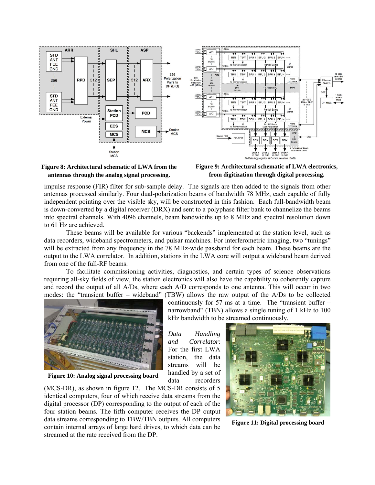





**Figure 9: Architectural schematic of LWA electronics, from digitization through digital processing.**

impulse response (FIR) filter for sub-sample delay. The signals are then added to the signals from other antennas processed similarly. Four dual-polarization beams of bandwidth 78 MHz, each capable of fully independent pointing over the visible sky, will be constructed in this fashion. Each full-bandwidth beam is down-converted by a digital receiver (DRX) and sent to a polyphase filter bank to channelize the beams into spectral channels. With 4096 channels, beam bandwidths up to 8 MHz and spectral resolution down to 61 Hz are achieved.

These beams will be available for various "backends" implemented at the station level, such as data recorders, wideband spectrometers, and pulsar machines. For interferometric imaging, two "tunings" will be extracted from any frequency in the 78 MHz-wide passband for each beam. These beams are the output to the LWA correlator. In addition, stations in the LWA core will output a wideband beam derived from one of the full-RF beams.

To facilitate commissioning activities, diagnostics, and certain types of science observations requiring all-sky fields of view, the station electronics will also have the capability to coherently capture and record the output of all A/Ds, where each A/D corresponds to one antenna. This will occur in two modes: the "transient buffer – wideband" (TBW) allows the raw output of the A/Ds to be collected



**Figure 10: Analog signal processing board**

(MCS-DR), as shown in figure 12. The MCS-DR consists of 5 identical computers, four of which receive data streams from the digital processor (DP) corresponding to the output of each of the four station beams. The fifth computer receives the DP output data streams corresponding to TBW/TBN outputs. All computers contain internal arrays of large hard drives, to which data can be streamed at the rate received from the DP.

continuously for 57 ms at a time. The "transient buffer – narrowband" (TBN) allows a single tuning of 1 kHz to 100 kHz bandwidth to be streamed continuously.

*Data Handling and Correlator*: For the first LWA station, the data streams will be handled by a set of data recorders



**Figure 11: Digital processing board**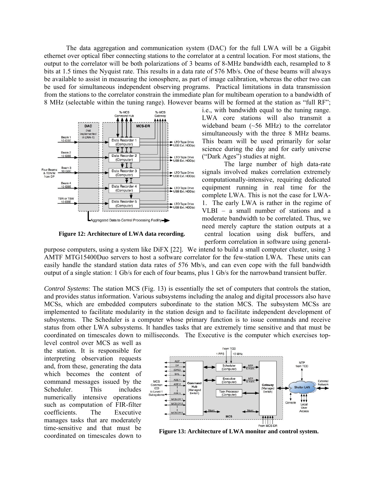The data aggregation and communication system (DAC) for the full LWA will be a Gigabit ethernet over optical fiber connecting stations to the correlator at a central location. For most stations, the output to the correlator will be both polarizations of 3 beams of 8-MHz bandwidth each, resampled to 8 bits at 1.5 times the Nyquist rate. This results in a data rate of 576 Mb/s. One of these beams will always be available to assist in measuring the ionosphere, as part of image calibration, whereas the other two can be used for simultaneous independent observing programs. Practical limitations in data transmission from the stations to the correlator constrain the immediate plan for multibeam operation to a bandwidth of 8 MHz (selectable within the tuning range). However beams will be formed at the station as "full RF";



**Figure 12: Architecture of LWA data recording.**

i.e., with bandwidth equal to the tuning range. LWA core stations will also transmit a wideband beam (~56 MHz) to the correlator simultaneously with the three 8 MHz beams. This beam will be used primarily for solar science during the day and for early universe ("Dark Ages") studies at night.

 The large number of high data-rate signals involved makes correlation extremely computationally-intensive, requiring dedicated equipment running in real time for the complete LWA. This is not the case for LWA-1. The early LWA is rather in the regime of VLBI – a small number of stations and a moderate bandwidth to be correlated. Thus, we need merely capture the station outputs at a central location using disk buffers, and perform correlation in software using general-

purpose computers, using a system like DiFX [22]. We intend to build a small computer cluster, using 3 AMTF MTG15400Duo servers to host a software correlator for the few-station LWA*.* These units can easily handle the standard station data rates of 576 Mb/s, and can even cope with the full bandwidth output of a single station: 1 Gb/s for each of four beams, plus 1 Gb/s for the narrowband transient buffer.

*Control Systems*: The station MCS (Fig. 13) is essentially the set of computers that controls the station, and provides status information. Various subsystems including the analog and digital processors also have MCSs, which are embedded computers subordinate to the station MCS. The subsystem MCSs are implemented to facilitate modularity in the station design and to facilitate independent development of subsystems. The Scheduler is a computer whose primary function is to issue commands and receive status from other LWA subsystems. It handles tasks that are extremely time sensitive and that must be coordinated on timescales down to milliseconds. The Executive is the computer which exercises top-

level control over MCS as well as the station. It is responsible for interpreting observation requests and, from these, generating the data which becomes the content of command messages issued by the Scheduler. This includes numerically intensive operations such as computation of FIR-filter coefficients. The Executive manages tasks that are moderately time-sensitive and that must be coordinated on timescales down to **Figure 13: Architecture of LWA monitor and control system.**

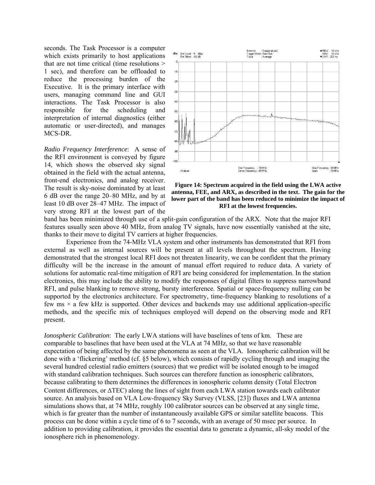seconds. The Task Processor is a computer which exists primarily to host applications that are not time critical (time resolutions > 1 sec), and therefore can be offloaded to reduce the processing burden of the Executive. It is the primary interface with users, managing command line and GUI interactions. The Task Processor is also responsible for the scheduling and interpretation of internal diagnostics (either automatic or user-directed), and manages MCS-DR.

*Radio Frequency Interference*: A sense of the RFI environment is conveyed by figure 14, which shows the observed sky signal obtained in the field with the actual antenna, front-end electronics, and analog receiver. The result is sky-noise dominated by at least 6 dB over the range 20–80 MHz, and by at least 10 dB over 28–47 MHz. The impact of very strong RFI at the lowest part of the



**Figure 14: Spectrum acquired in the field using the LWA active antenna, FEE, and ARX, as described in the text. The gain for the lower part of the band has been reduced to minimize the impact of RFI at the lowest frequencies.** 

band has been minimized through use of a split-gain configuration of the ARX. Note that the major RFI features usually seen above 40 MHz, from analog TV signals, have now essentially vanished at the site, thanks to their move to digital TV carriers at higher frequencies.

Experience from the 74-MHz VLA system and other instruments has demonstrated that RFI from external as well as internal sources will be present at all levels throughout the spectrum. Having demonstrated that the strongest local RFI does not threaten linearity, we can be confident that the primary difficulty will be the increase in the amount of manual effort required to reduce data. A variety of solutions for automatic real-time mitigation of RFI are being considered for implementation. In the station electronics, this may include the ability to modify the responses of digital filters to suppress narrowband RFI, and pulse blanking to remove strong, bursty interference. Spatial or space-frequency nulling can be supported by the electronics architecture. For spectrometry, time-frequency blanking to resolutions of a few ms  $\times$  a few kHz is supported. Other devices and backends may use additional application-specific methods, and the specific mix of techniques employed will depend on the observing mode and RFI present.

*Ionospheric Calibration*: The early LWA stations will have baselines of tens of km. These are comparable to baselines that have been used at the VLA at 74 MHz, so that we have reasonable expectation of being affected by the same phenomena as seen at the VLA. Ionospheric calibration will be done with a 'flickering' method (cf. §5 below), which consists of rapidly cycling through and imaging the several hundred celestial radio emitters (sources) that we predict will be isolated enough to be imaged with standard calibration techniques. Such sources can therefore function as ionospheric calibrators, because calibrating to them determines the differences in ionospheric column density (Total Electron Content differences, or ΔTEC) along the lines of sight from each LWA station towards each calibrator source. An analysis based on VLA Low-frequency Sky Survey (VLSS, [23]) fluxes and LWA antenna simulations shows that, at 74 MHz, roughly 100 calibrator sources can be observed at any single time, which is far greater than the number of instantaneously available GPS or similar satellite beacons. This process can be done within a cycle time of 6 to 7 seconds, with an average of 50 msec per source. In addition to providing calibration, it provides the essential data to generate a dynamic, all-sky model of the ionosphere rich in phenomenology.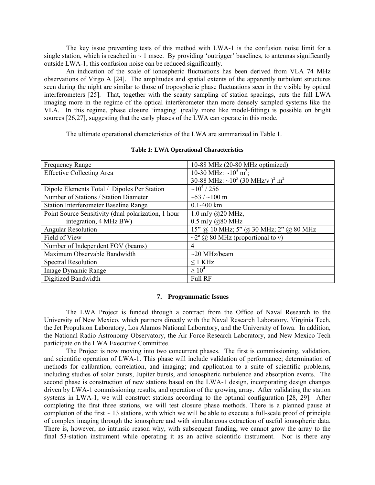The key issue preventing tests of this method with LWA-1 is the confusion noise limit for a single station, which is reached in  $\sim 1$  msec. By providing 'outrigger' baselines, to antennas significantly outside LWA-1, this confusion noise can be reduced significantly.

An indication of the scale of ionospheric fluctuations has been derived from VLA 74 MHz observations of Virgo A [24]. The amplitudes and spatial extents of the apparently turbulent structures seen during the night are similar to those of tropospheric phase fluctuations seen in the visible by optical interferometers [25]. That, together with the scanty sampling of station spacings, puts the full LWA imaging more in the regime of the optical interferometer than more densely sampled systems like the VLA. In this regime, phase closure 'imaging' (really more like model-fitting) is possible on bright sources [26,27], suggesting that the early phases of the LWA can operate in this mode.

The ultimate operational characteristics of the LWA are summarized in Table 1.

| <b>Frequency Range</b>                              | 10-88 MHz (20-80 MHz optimized)                                          |
|-----------------------------------------------------|--------------------------------------------------------------------------|
| <b>Effective Collecting Area</b>                    | 10-30 MHz: $\sim 10^5$ m <sup>2</sup> ;                                  |
|                                                     | 30-88 MHz: $\sim$ 10 <sup>5</sup> (30 MHz/v) <sup>2</sup> m <sup>2</sup> |
| Dipole Elements Total / Dipoles Per Station         | $\sim$ 10 <sup>4</sup> / 256                                             |
| Number of Stations / Station Diameter               | $\sim$ 53 / $\sim$ 100 m                                                 |
| <b>Station Interferometer Baseline Range</b>        | $0.1 - 400$ km                                                           |
| Point Source Sensitivity (dual polarization, 1 hour | 1.0 mJy $@20$ MHz,                                                       |
| integration, 4 MHz BW)                              | $0.5$ mJy $(a)80$ MHz                                                    |
| <b>Angular Resolution</b>                           | 15" @ 10 MHz; 5" @ 30 MHz; 2" @ 80 MHz                                   |
| Field of View                                       | $\sim$ 2° @ 80 MHz (proportional to v)                                   |
| Number of Independent FOV (beams)                   | $\overline{4}$                                                           |
| Maximum Observable Bandwidth                        | $\sim$ 20 MHz/beam                                                       |
| <b>Spectral Resolution</b>                          | $\leq$ 1 KHz                                                             |
| Image Dynamic Range                                 | $\geq 10^4$                                                              |
| Digitized Bandwidth                                 | <b>Full RF</b>                                                           |

#### **Table 1: LWA Operational Characteristics**

### **7. Programmatic Issues**

The LWA Project is funded through a contract from the Office of Naval Research to the University of New Mexico, which partners directly with the Naval Research Laboratory, Virginia Tech, the Jet Propulsion Laboratory, Los Alamos National Laboratory, and the University of Iowa. In addition, the National Radio Astronomy Observatory, the Air Force Research Laboratory, and New Mexico Tech participate on the LWA Executive Committee.

The Project is now moving into two concurrent phases. The first is commissioning, validation, and scientific operation of LWA-1. This phase will include validation of performance; determination of methods for calibration, correlation, and imaging; and application to a suite of scientific problems, including studies of solar bursts, Jupiter bursts, and ionospheric turbulence and absorption events. The second phase is construction of new stations based on the LWA-1 design, incorporating design changes driven by LWA-1 commissioning results, and operation of the growing array. After validating the station systems in LWA-1, we will construct stations according to the optimal configuration [28, 29]. After completing the first three stations, we will test closure phase methods. There is a planned pause at completion of the first  $\sim$  13 stations, with which we will be able to execute a full-scale proof of principle of complex imaging through the ionosphere and with simultaneous extraction of useful ionospheric data. There is, however, no intrinsic reason why, with subsequent funding, we cannot grow the array to the final 53-station instrument while operating it as an active scientific instrument. Nor is there any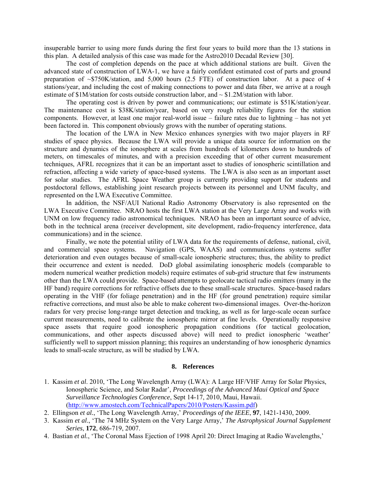insuperable barrier to using more funds during the first four years to build more than the 13 stations in this plan. A detailed analysis of this case was made for the Astro2010 Decadal Review [30].

The cost of completion depends on the pace at which additional stations are built. Given the advanced state of construction of LWA-1, we have a fairly confident estimated cost of parts and ground preparation of ~\$750K/station, and 5,000 hours (2.5 FTE) of construction labor. At a pace of 4 stations/year, and including the cost of making connections to power and data fiber, we arrive at a rough estimate of \$1M/station for costs outside construction labor, and ~ \$1.2M/station with labor.

The operating cost is driven by power and communications; our estimate is \$51K/station/year. The maintenance cost is \$38K/station/year, based on very rough reliability figures for the station components. However, at least one major real-world issue – failure rates due to lightning – has not yet been factored in. This component obviously grows with the number of operating stations.

The location of the LWA in New Mexico enhances synergies with two major players in RF studies of space physics. Because the LWA will provide a unique data source for information on the structure and dynamics of the ionosphere at scales from hundreds of kilometers down to hundreds of meters, on timescales of minutes, and with a precision exceeding that of other current measurement techniques, AFRL recognizes that it can be an important asset to studies of ionospheric scintillation and refraction, affecting a wide variety of space-based systems. The LWA is also seen as an important asset for solar studies. The AFRL Space Weather group is currently providing support for students and postdoctoral fellows, establishing joint research projects between its personnel and UNM faculty, and represented on the LWA Executive Committee.

In addition, the NSF/AUI National Radio Astronomy Observatory is also represented on the LWA Executive Committee. NRAO hosts the first LWA station at the Very Large Array and works with UNM on low frequency radio astronomical techniques. NRAO has been an important source of advice, both in the technical arena (receiver development, site development, radio-frequency interference, data communications) and in the science.

Finally, we note the potential utility of LWA data for the requirements of defense, national, civil, and commercial space systems. Navigation (GPS, WAAS) and communications systems suffer deterioration and even outages because of small-scale ionospheric structures; thus, the ability to predict their occurrence and extent is needed. DoD global assimilating ionospheric models (comparable to modern numerical weather prediction models) require estimates of sub-grid structure that few instruments other than the LWA could provide. Space-based attempts to geolocate tactical radio emitters (many in the HF band) require corrections for refractive offsets due to these small-scale structures. Space-based radars operating in the VHF (for foliage penetration) and in the HF (for ground penetration) require similar refractive corrections, and must also be able to make coherent two-dimensional images. Over-the-horizon radars for very precise long-range target detection and tracking, as well as for large-scale ocean surface current measurements, need to calibrate the ionospheric mirror at fine levels. Operationally responsive space assets that require good ionospheric propagation conditions (for tactical geolocation, communications, and other aspects discussed above) will need to predict ionospheric 'weather' sufficiently well to support mission planning; this requires an understanding of how ionospheric dynamics leads to small-scale structure, as will be studied by LWA.

## **8. References**

- 1. Kassim *et al*. 2010, 'The Long Wavelength Array (LWA): A Large HF/VHF Array for Solar Physics, Ionospheric Science, and Solar Radar', *Proceedings of the Advanced Maui Optical and Space Surveillance Technologies Conference*, Sept 14-17, 2010, Maui, Hawaii. ([http://www.amostech.com/TechnicalPapers/2010/Posters/Kassim.pdf\)](https://webmail.unm.edu/Redirect/www.amostech.com/TechnicalPapers/2010/Posters/Kassim.pdf)
- 2. Ellingson *et al.*, 'The Long Wavelength Array,' *Proceedings of the IEEE*, **97**, 1421-1430, 2009.
- 3. Kassim *et al*., 'The 74 MHz System on the Very Large Array,' *The Astrophysical Journal Supplement Series*, **172**, 686-719, 2007.
- 4. Bastian *et al.*, 'The Coronal Mass Ejection of 1998 April 20: Direct Imaging at Radio Wavelengths,'